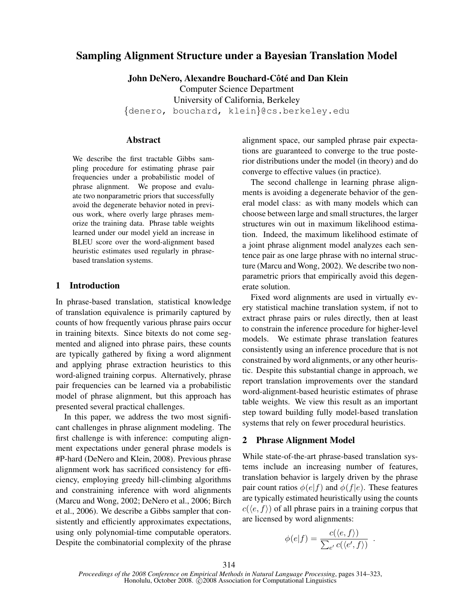# Sampling Alignment Structure under a Bayesian Translation Model

John DeNero, Alexandre Bouchard-Côté and Dan Klein

Computer Science Department

University of California, Berkeley

{denero, bouchard, klein}@cs.berkeley.edu

# Abstract

We describe the first tractable Gibbs sampling procedure for estimating phrase pair frequencies under a probabilistic model of phrase alignment. We propose and evaluate two nonparametric priors that successfully avoid the degenerate behavior noted in previous work, where overly large phrases memorize the training data. Phrase table weights learned under our model yield an increase in BLEU score over the word-alignment based heuristic estimates used regularly in phrasebased translation systems.

## 1 Introduction

In phrase-based translation, statistical knowledge of translation equivalence is primarily captured by counts of how frequently various phrase pairs occur in training bitexts. Since bitexts do not come segmented and aligned into phrase pairs, these counts are typically gathered by fixing a word alignment and applying phrase extraction heuristics to this word-aligned training corpus. Alternatively, phrase pair frequencies can be learned via a probabilistic model of phrase alignment, but this approach has presented several practical challenges.

In this paper, we address the two most significant challenges in phrase alignment modeling. The first challenge is with inference: computing alignment expectations under general phrase models is #P-hard (DeNero and Klein, 2008). Previous phrase alignment work has sacrificed consistency for efficiency, employing greedy hill-climbing algorithms and constraining inference with word alignments (Marcu and Wong, 2002; DeNero et al., 2006; Birch et al., 2006). We describe a Gibbs sampler that consistently and efficiently approximates expectations, using only polynomial-time computable operators. Despite the combinatorial complexity of the phrase alignment space, our sampled phrase pair expectations are guaranteed to converge to the true posterior distributions under the model (in theory) and do converge to effective values (in practice).

The second challenge in learning phrase alignments is avoiding a degenerate behavior of the general model class: as with many models which can choose between large and small structures, the larger structures win out in maximum likelihood estimation. Indeed, the maximum likelihood estimate of a joint phrase alignment model analyzes each sentence pair as one large phrase with no internal structure (Marcu and Wong, 2002). We describe two nonparametric priors that empirically avoid this degenerate solution.

Fixed word alignments are used in virtually every statistical machine translation system, if not to extract phrase pairs or rules directly, then at least to constrain the inference procedure for higher-level models. We estimate phrase translation features consistently using an inference procedure that is not constrained by word alignments, or any other heuristic. Despite this substantial change in approach, we report translation improvements over the standard word-alignment-based heuristic estimates of phrase table weights. We view this result as an important step toward building fully model-based translation systems that rely on fewer procedural heuristics.

#### 2 Phrase Alignment Model

While state-of-the-art phrase-based translation systems include an increasing number of features, translation behavior is largely driven by the phrase pair count ratios  $\phi(e|f)$  and  $\phi(f|e)$ . These features are typically estimated heuristically using the counts  $c(\langle e, f \rangle)$  of all phrase pairs in a training corpus that are licensed by word alignments:

$$
\phi(e|f) = \frac{c(\langle e, f \rangle)}{\sum_{e'} c(\langle e', f \rangle)}
$$

.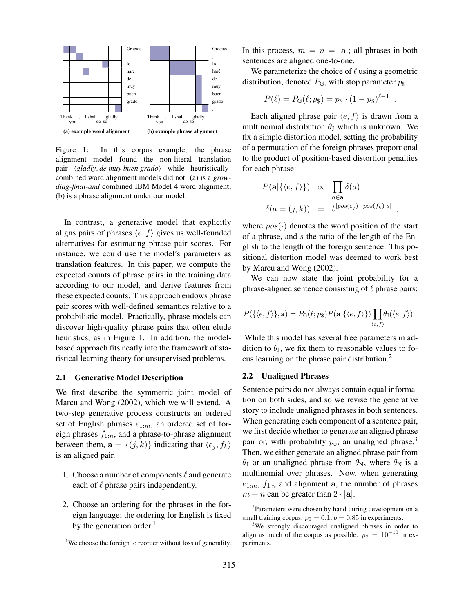

Figure 1: In this corpus example, the phrase alignment model found the non-literal translation pair *(gladly, de muy buen grado)* while heuristicallycombined word alignment models did not. (a) is a *growdiag-final-and* combined IBM Model 4 word alignment; (b) is a phrase alignment under our model.

In contrast, a generative model that explicitly aligns pairs of phrases  $\langle e, f \rangle$  gives us well-founded alternatives for estimating phrase pair scores. For instance, we could use the model's parameters as translation features. In this paper, we compute the expected counts of phrase pairs in the training data according to our model, and derive features from these expected counts. This approach endows phrase pair scores with well-defined semantics relative to a probabilistic model. Practically, phrase models can discover high-quality phrase pairs that often elude heuristics, as in Figure 1. In addition, the modelbased approach fits neatly into the framework of statistical learning theory for unsupervised problems.

## 2.1 Generative Model Description

We first describe the symmetric joint model of Marcu and Wong (2002), which we will extend. A two-step generative process constructs an ordered set of English phrases  $e_{1:m}$ , an ordered set of foreign phrases  $f_{1:n}$ , and a phrase-to-phrase alignment between them,  $\mathbf{a} = \{(j, k)\}\$ indicating that  $\langle e_j, f_k \rangle$ is an aligned pair.

- 1. Choose a number of components  $\ell$  and generate each of  $\ell$  phrase pairs independently.
- 2. Choose an ordering for the phrases in the foreign language; the ordering for English is fixed by the generation order. $<sup>1</sup>$ </sup>

In this process,  $m = n = |\mathbf{a}|$ ; all phrases in both sentences are aligned one-to-one.

We parameterize the choice of  $\ell$  using a geometric distribution, denoted  $P_G$ , with stop parameter  $p_{\$}$ :

$$
P(\ell) = P_{\mathbf{G}}(\ell; p_{\$}) = p_{\$} \cdot (1 - p_{\$})^{\ell - 1}
$$

.

Each aligned phrase pair  $\langle e, f \rangle$  is drawn from a multinomial distribution  $\theta_J$  which is unknown. We fix a simple distortion model, setting the probability of a permutation of the foreign phrases proportional to the product of position-based distortion penalties for each phrase:

$$
P(\mathbf{a}|\{\langle e,f\rangle\}) \propto \prod_{a\in\mathbf{a}} \delta(a)
$$
  

$$
\delta(a=(j,k)) = b^{|pos(e_j)-pos(f_k)\cdot s|},
$$

where  $pos(\cdot)$  denotes the word position of the start of a phrase, and s the ratio of the length of the English to the length of the foreign sentence. This positional distortion model was deemed to work best by Marcu and Wong (2002).

We can now state the joint probability for a phrase-aligned sentence consisting of  $\ell$  phrase pairs:

$$
P(\{\langle e,f\rangle\},\mathbf{a})=P_{\mathbf{G}}(\ell;p_{\mathbf{S}})P(\mathbf{a}|\{\langle e,f\rangle\})\prod_{\langle e,f\rangle} \theta_{\mathbf{J}}(\langle e,f\rangle).
$$

While this model has several free parameters in addition to  $\theta_J$ , we fix them to reasonable values to focus learning on the phrase pair distribution.<sup>2</sup>

## 2.2 Unaligned Phrases

Sentence pairs do not always contain equal information on both sides, and so we revise the generative story to include unaligned phrases in both sentences. When generating each component of a sentence pair, we first decide whether to generate an aligned phrase pair or, with probability  $p_{\phi}$ , an unaligned phrase.<sup>3</sup> Then, we either generate an aligned phrase pair from  $\theta_J$  or an unaligned phrase from  $\theta_N$ , where  $\theta_N$  is a multinomial over phrases. Now, when generating  $e_{1:m}$ ,  $f_{1:n}$  and alignment a, the number of phrases  $m + n$  can be greater than  $2 \cdot |\mathbf{a}|$ .

<sup>&</sup>lt;sup>1</sup>We choose the foreign to reorder without loss of generality.

<sup>&</sup>lt;sup>2</sup>Parameters were chosen by hand during development on a small training corpus.  $p_{\$} = 0.1, b = 0.85$  in experiments.

<sup>&</sup>lt;sup>3</sup>We strongly discouraged unaligned phrases in order to align as much of the corpus as possible:  $p_{\phi} = 10^{-10}$  in experiments.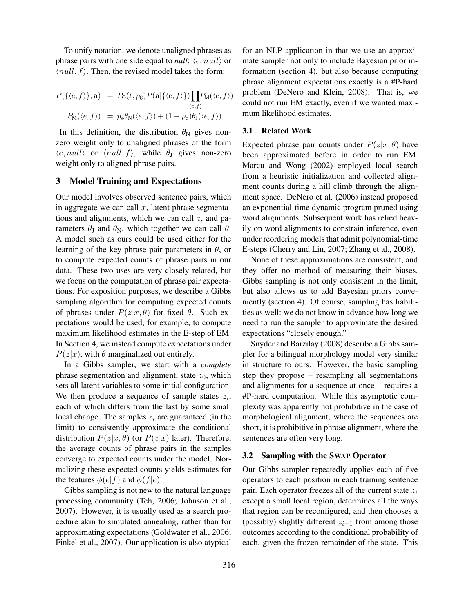To unify notation, we denote unaligned phrases as phrase pairs with one side equal to *null*:  $\langle e, null \rangle$  or  $\langle null, f \rangle$ . Then, the revised model takes the form:

$$
P(\{\langle e, f \rangle\}, \mathbf{a}) = P_{\mathbf{G}}(\ell; p_{\mathbf{S}}) P(\mathbf{a} | \{\langle e, f \rangle\}) \prod_{\langle e, f \rangle} P_{\mathbf{M}}(\langle e, f \rangle)
$$

$$
P_{\mathbf{M}}(\langle e, f \rangle) = p_{\varphi} \theta_{\mathbf{N}}(\langle e, f \rangle) + (1 - p_{\varphi}) \theta_{\mathbf{J}}(\langle e, f \rangle) .
$$

In this definition, the distribution  $\theta_N$  gives nonzero weight only to unaligned phrases of the form  $\langle e, null \rangle$  or  $\langle null, f \rangle$ , while  $\theta_J$  gives non-zero weight only to aligned phrase pairs.

## 3 Model Training and Expectations

Our model involves observed sentence pairs, which in aggregate we can call  $x$ , latent phrase segmentations and alignments, which we can call  $z$ , and parameters  $\theta_J$  and  $\theta_N$ , which together we can call  $\theta$ . A model such as ours could be used either for the learning of the key phrase pair parameters in  $\theta$ , or to compute expected counts of phrase pairs in our data. These two uses are very closely related, but we focus on the computation of phrase pair expectations. For exposition purposes, we describe a Gibbs sampling algorithm for computing expected counts of phrases under  $P(z|x, \theta)$  for fixed  $\theta$ . Such expectations would be used, for example, to compute maximum likelihood estimates in the E-step of EM. In Section 4, we instead compute expectations under  $P(z|x)$ , with  $\theta$  marginalized out entirely.

In a Gibbs sampler, we start with a *complete* phrase segmentation and alignment, state  $z_0$ , which sets all latent variables to some initial configuration. We then produce a sequence of sample states  $z_i$ , each of which differs from the last by some small local change. The samples  $z_i$  are guaranteed (in the limit) to consistently approximate the conditional distribution  $P(z|x, \theta)$  (or  $P(z|x)$  later). Therefore, the average counts of phrase pairs in the samples converge to expected counts under the model. Normalizing these expected counts yields estimates for the features  $\phi(e|f)$  and  $\phi(f|e)$ .

Gibbs sampling is not new to the natural language processing community (Teh, 2006; Johnson et al., 2007). However, it is usually used as a search procedure akin to simulated annealing, rather than for approximating expectations (Goldwater et al., 2006; Finkel et al., 2007). Our application is also atypical for an NLP application in that we use an approximate sampler not only to include Bayesian prior information (section 4), but also because computing phrase alignment expectations exactly is a #P-hard problem (DeNero and Klein, 2008). That is, we could not run EM exactly, even if we wanted maximum likelihood estimates.

## 3.1 Related Work

Expected phrase pair counts under  $P(z|x, \theta)$  have been approximated before in order to run EM. Marcu and Wong (2002) employed local search from a heuristic initialization and collected alignment counts during a hill climb through the alignment space. DeNero et al. (2006) instead proposed an exponential-time dynamic program pruned using word alignments. Subsequent work has relied heavily on word alignments to constrain inference, even under reordering models that admit polynomial-time E-steps (Cherry and Lin, 2007; Zhang et al., 2008).

None of these approximations are consistent, and they offer no method of measuring their biases. Gibbs sampling is not only consistent in the limit, but also allows us to add Bayesian priors conveniently (section 4). Of course, sampling has liabilities as well: we do not know in advance how long we need to run the sampler to approximate the desired expectations "closely enough."

Snyder and Barzilay (2008) describe a Gibbs sampler for a bilingual morphology model very similar in structure to ours. However, the basic sampling step they propose – resampling all segmentations and alignments for a sequence at once – requires a #P-hard computation. While this asymptotic complexity was apparently not prohibitive in the case of morphological alignment, where the sequences are short, it is prohibitive in phrase alignment, where the sentences are often very long.

## 3.2 Sampling with the SWAP Operator

Our Gibbs sampler repeatedly applies each of five operators to each position in each training sentence pair. Each operator freezes all of the current state  $z_i$ except a small local region, determines all the ways that region can be reconfigured, and then chooses a (possibly) slightly different  $z_{i+1}$  from among those outcomes according to the conditional probability of each, given the frozen remainder of the state. This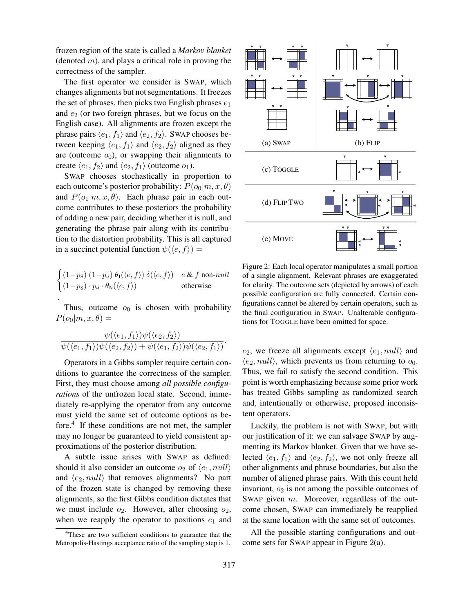frozen region of the state is called a *Markov blanket* (denoted  $m$ ), and plays a critical role in proving the correctness of the sampler.

The first operator we consider is SWAP, which changes alignments but not segmentations. It freezes the set of phrases, then picks two English phrases  $e_1$ and  $e_2$  (or two foreign phrases, but we focus on the English case). All alignments are frozen except the phrase pairs  $\langle e_1, f_1 \rangle$  and  $\langle e_2, f_2 \rangle$ . SWAP chooses between keeping  $\langle e_1, f_1 \rangle$  and  $\langle e_2, f_2 \rangle$  aligned as they are (outcome  $o_0$ ), or swapping their alignments to create  $\langle e_1, f_2 \rangle$  and  $\langle e_2, f_1 \rangle$  (outcome  $o_1$ ).

SWAP chooses stochastically in proportion to each outcome's posterior probability:  $P(o_0|m, x, \theta)$ and  $P(o_1|m, x, \theta)$ . Each phrase pair in each outcome contributes to these posteriors the probability of adding a new pair, deciding whether it is null, and generating the phrase pair along with its contribution to the distortion probability. This is all captured in a succinct potential function  $\psi(\langle e, f \rangle) =$ 

$$
\begin{cases}\n(1-p_{\$}) (1-p_{\emptyset}) \theta_{\mathsf{J}}(\langle e, f \rangle) \delta(\langle e, f \rangle) & e \& f \text{ non-null} \\
(1-p_{\$}) \cdot p_{\emptyset} \cdot \theta_{\mathsf{N}}(\langle e, f \rangle) & \text{otherwise}\n\end{cases}
$$

.

Thus, outcome  $o_0$  is chosen with probability  $P(o_0|m, x, \theta) =$ 

$$
\frac{\psi(\langle e_1,f_1\rangle)\psi(\langle e_2,f_2\rangle)}{\psi(\langle e_1,f_1\rangle)\psi(\langle e_2,f_2\rangle)+\psi(\langle e_1,f_2\rangle)\psi(\langle e_2,f_1\rangle)}.
$$

Operators in a Gibbs sampler require certain conditions to guarantee the correctness of the sampler. First, they must choose among *all possible configurations* of the unfrozen local state. Second, immediately re-applying the operator from any outcome must yield the same set of outcome options as before.<sup>4</sup> If these conditions are not met, the sampler may no longer be guaranteed to yield consistent approximations of the posterior distribution.

A subtle issue arises with SWAP as defined: should it also consider an outcome  $o_2$  of  $\langle e_1, null \rangle$ and  $\langle e_2$ , null) that removes alignments? No part of the frozen state is changed by removing these alignments, so the first Gibbs condition dictates that we must include  $o_2$ . However, after choosing  $o_2$ , when we reapply the operator to positions  $e_1$  and



Figure 2: Each local operator manipulates a small portion of a single alignment. Relevant phrases are exaggerated for clarity. The outcome sets (depicted by arrows) of each possible configuration are fully connected. Certain configurations cannot be altered by certain operators, such as the final configuration in SWAP. Unalterable configurations for TOGGLE have been omitted for space.

 $e_2$ , we freeze all alignments except  $\langle e_1, null \rangle$  and  $\langle e_2, null \rangle$ , which prevents us from returning to  $o_0$ . Thus, we fail to satisfy the second condition. This point is worth emphasizing because some prior work has treated Gibbs sampling as randomized search and, intentionally or otherwise, proposed inconsistent operators.

Luckily, the problem is not with SWAP, but with our justification of it: we can salvage SWAP by augmenting its Markov blanket. Given that we have selected  $\langle e_1, f_1 \rangle$  and  $\langle e_2, f_2 \rangle$ , we not only freeze all other alignments and phrase boundaries, but also the number of aligned phrase pairs. With this count held invariant,  $o_2$  is not among the possible outcomes of SWAP given m. Moreover, regardless of the outcome chosen, SWAP can immediately be reapplied at the same location with the same set of outcomes.

All the possible starting configurations and outcome sets for SWAP appear in Figure 2(a).

<sup>4</sup>These are two sufficient conditions to guarantee that the Metropolis-Hastings acceptance ratio of the sampling step is 1.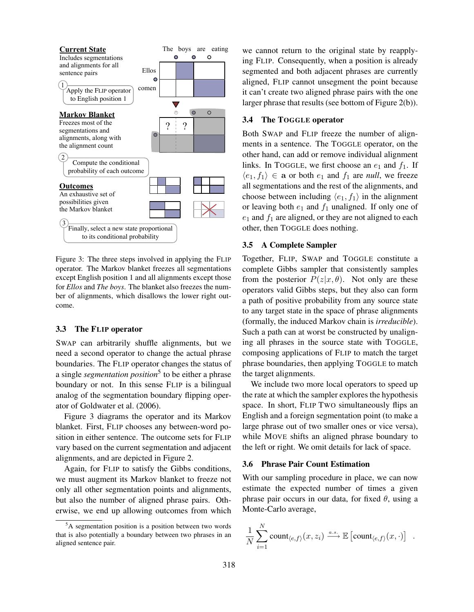

Figure 3: The three steps involved in applying the FLIP operator. The Markov blanket freezes all segmentations except English position 1 and all alignments except those for *Ellos* and *The boys*. The blanket also freezes the number of alignments, which disallows the lower right outcome.

#### 3.3 The FLIP operator

SWAP can arbitrarily shuffle alignments, but we need a second operator to change the actual phrase boundaries. The FLIP operator changes the status of a single *segmentation position*<sup>5</sup> to be either a phrase boundary or not. In this sense FLIP is a bilingual analog of the segmentation boundary flipping operator of Goldwater et al. (2006).

Figure 3 diagrams the operator and its Markov blanket. First, FLIP chooses any between-word position in either sentence. The outcome sets for FLIP vary based on the current segmentation and adjacent alignments, and are depicted in Figure 2.

Again, for FLIP to satisfy the Gibbs conditions, we must augment its Markov blanket to freeze not only all other segmentation points and alignments, but also the number of aligned phrase pairs. Otherwise, we end up allowing outcomes from which we cannot return to the original state by reapplying FLIP. Consequently, when a position is already segmented and both adjacent phrases are currently aligned, FLIP cannot unsegment the point because it can't create two aligned phrase pairs with the one larger phrase that results (see bottom of Figure 2(b)).

## 3.4 The TOGGLE operator

Both SWAP and FLIP freeze the number of alignments in a sentence. The TOGGLE operator, on the other hand, can add or remove individual alignment links. In TOGGLE, we first choose an  $e_1$  and  $f_1$ . If  $\langle e_1, f_1 \rangle \in \mathbf{a}$  or both  $e_1$  and  $f_1$  are *null*, we freeze all segmentations and the rest of the alignments, and choose between including  $\langle e_1, f_1 \rangle$  in the alignment or leaving both  $e_1$  and  $f_1$  unaligned. If only one of  $e_1$  and  $f_1$  are aligned, or they are not aligned to each other, then TOGGLE does nothing.

#### 3.5 A Complete Sampler

Together, FLIP, SWAP and TOGGLE constitute a complete Gibbs sampler that consistently samples from the posterior  $P(z|x, \theta)$ . Not only are these operators valid Gibbs steps, but they also can form a path of positive probability from any source state to any target state in the space of phrase alignments (formally, the induced Markov chain is *irreducible*). Such a path can at worst be constructed by unaligning all phrases in the source state with TOGGLE, composing applications of FLIP to match the target phrase boundaries, then applying TOGGLE to match the target alignments.

We include two more local operators to speed up the rate at which the sampler explores the hypothesis space. In short, FLIP TWO simultaneously flips an English and a foreign segmentation point (to make a large phrase out of two smaller ones or vice versa), while MOVE shifts an aligned phrase boundary to the left or right. We omit details for lack of space.

## 3.6 Phrase Pair Count Estimation

With our sampling procedure in place, we can now estimate the expected number of times a given phrase pair occurs in our data, for fixed  $\theta$ , using a Monte-Carlo average,

$$
\frac{1}{N}\sum_{i=1}^N \text{count}_{\langle e,f\rangle}(x,z_i) \xrightarrow{a.s.} \mathbb{E}\left[\text{count}_{\langle e,f\rangle}(x,\cdot)\right] .
$$

 ${}^{5}$ A segmentation position is a position between two words that is also potentially a boundary between two phrases in an aligned sentence pair.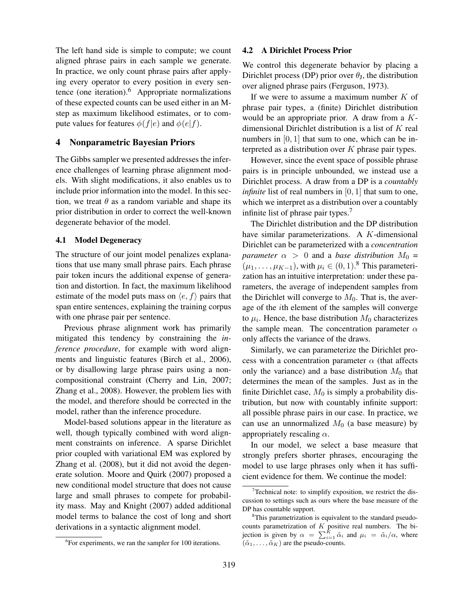The left hand side is simple to compute; we count aligned phrase pairs in each sample we generate. In practice, we only count phrase pairs after applying every operator to every position in every sentence (one iteration).<sup>6</sup> Appropriate normalizations of these expected counts can be used either in an Mstep as maximum likelihood estimates, or to compute values for features  $\phi(f|e)$  and  $\phi(e|f)$ .

## 4 Nonparametric Bayesian Priors

The Gibbs sampler we presented addresses the inference challenges of learning phrase alignment models. With slight modifications, it also enables us to include prior information into the model. In this section, we treat  $\theta$  as a random variable and shape its prior distribution in order to correct the well-known degenerate behavior of the model.

#### 4.1 Model Degeneracy

The structure of our joint model penalizes explanations that use many small phrase pairs. Each phrase pair token incurs the additional expense of generation and distortion. In fact, the maximum likelihood estimate of the model puts mass on  $\langle e, f \rangle$  pairs that span entire sentences, explaining the training corpus with one phrase pair per sentence.

Previous phrase alignment work has primarily mitigated this tendency by constraining the *inference procedure*, for example with word alignments and linguistic features (Birch et al., 2006), or by disallowing large phrase pairs using a noncompositional constraint (Cherry and Lin, 2007; Zhang et al., 2008). However, the problem lies with the model, and therefore should be corrected in the model, rather than the inference procedure.

Model-based solutions appear in the literature as well, though typically combined with word alignment constraints on inference. A sparse Dirichlet prior coupled with variational EM was explored by Zhang et al. (2008), but it did not avoid the degenerate solution. Moore and Quirk (2007) proposed a new conditional model structure that does not cause large and small phrases to compete for probability mass. May and Knight (2007) added additional model terms to balance the cost of long and short derivations in a syntactic alignment model.

## 4.2 A Dirichlet Process Prior

We control this degenerate behavior by placing a Dirichlet process (DP) prior over  $\theta_J$ , the distribution over aligned phrase pairs (Ferguson, 1973).

If we were to assume a maximum number  $K$  of phrase pair types, a (finite) Dirichlet distribution would be an appropriate prior. A draw from a Kdimensional Dirichlet distribution is a list of  $K$  real numbers in [0, 1] that sum to one, which can be interpreted as a distribution over  $K$  phrase pair types.

However, since the event space of possible phrase pairs is in principle unbounded, we instead use a Dirichlet process. A draw from a DP is a *countably infinite* list of real numbers in [0, 1] that sum to one, which we interpret as a distribution over a countably infinite list of phrase pair types.<sup>7</sup>

The Dirichlet distribution and the DP distribution have similar parameterizations. A K-dimensional Dirichlet can be parameterized with a *concentration parameter*  $\alpha > 0$  and a *base distribution*  $M_0 =$  $(\mu_1, \ldots, \mu_{K-1})$ , with  $\mu_i \in (0,1)$ .<sup>8</sup> This parameterization has an intuitive interpretation: under these parameters, the average of independent samples from the Dirichlet will converge to  $M_0$ . That is, the average of the ith element of the samples will converge to  $\mu_i$ . Hence, the base distribution  $M_0$  characterizes the sample mean. The concentration parameter  $\alpha$ only affects the variance of the draws.

Similarly, we can parameterize the Dirichlet process with a concentration parameter  $\alpha$  (that affects only the variance) and a base distribution  $M_0$  that determines the mean of the samples. Just as in the finite Dirichlet case,  $M_0$  is simply a probability distribution, but now with countably infinite support: all possible phrase pairs in our case. In practice, we can use an unnormalized  $M_0$  (a base measure) by appropriately rescaling  $\alpha$ .

In our model, we select a base measure that strongly prefers shorter phrases, encouraging the model to use large phrases only when it has sufficient evidence for them. We continue the model:

<sup>&</sup>lt;sup>6</sup>For experiments, we ran the sampler for 100 iterations.

 $7$ Technical note: to simplify exposition, we restrict the discussion to settings such as ours where the base measure of the DP has countable support.

<sup>&</sup>lt;sup>8</sup>This parametrization is equivalent to the standard pseudocounts parametrization of  $K$  positive real numbers. The bijection is given by  $\alpha = \sum_{i=1}^{K} \tilde{\alpha}_i$  and  $\mu_i = \tilde{\alpha}_i/\alpha$ , where  $(\tilde{\alpha}_1, \ldots, \tilde{\alpha}_K)$  are the pseudo-counts.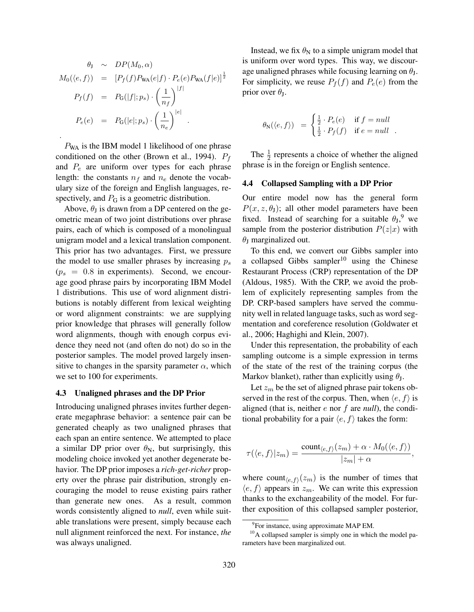$$
\theta_{J} \sim DP(M_{0}, \alpha)
$$
  
\n
$$
M_{0}(\langle e, f \rangle) = [P_{f}(f)P_{WA}(e|f) \cdot P_{e}(e)P_{WA}(f|e)]^{\frac{1}{2}}
$$
  
\n
$$
P_{f}(f) = P_{G}(|f|; p_{s}) \cdot \left(\frac{1}{n_{f}}\right)^{|f|}
$$
  
\n
$$
P_{e}(e) = P_{G}(|e|; p_{s}) \cdot \left(\frac{1}{n_{e}}\right)^{|e|}
$$
  
\n
$$
.
$$

 $P_{WA}$  is the IBM model 1 likelihood of one phrase conditioned on the other (Brown et al., 1994).  $P_f$ and  $P_e$  are uniform over types for each phrase length: the constants  $n_f$  and  $n_e$  denote the vocabulary size of the foreign and English languages, respectively, and  $P_G$  is a geometric distribution.

Above,  $\theta_J$  is drawn from a DP centered on the geometric mean of two joint distributions over phrase pairs, each of which is composed of a monolingual unigram model and a lexical translation component. This prior has two advantages. First, we pressure the model to use smaller phrases by increasing  $p_s$  $(p_s = 0.8$  in experiments). Second, we encourage good phrase pairs by incorporating IBM Model 1 distributions. This use of word alignment distributions is notably different from lexical weighting or word alignment constraints: we are supplying prior knowledge that phrases will generally follow word alignments, though with enough corpus evidence they need not (and often do not) do so in the posterior samples. The model proved largely insensitive to changes in the sparsity parameter  $\alpha$ , which we set to 100 for experiments.

#### 4.3 Unaligned phrases and the DP Prior

Introducing unaligned phrases invites further degenerate megaphrase behavior: a sentence pair can be generated cheaply as two unaligned phrases that each span an entire sentence. We attempted to place a similar DP prior over  $\theta_N$ , but surprisingly, this modeling choice invoked yet another degenerate behavior. The DP prior imposes a *rich-get-richer* property over the phrase pair distribution, strongly encouraging the model to reuse existing pairs rather than generate new ones. As a result, common words consistently aligned to *null*, even while suitable translations were present, simply because each null alignment reinforced the next. For instance, *the* was always unaligned.

Instead, we fix  $\theta_N$  to a simple unigram model that is uniform over word types. This way, we discourage unaligned phrases while focusing learning on  $\theta_{J}$ . For simplicity, we reuse  $P_f(f)$  and  $P_e(e)$  from the prior over  $\theta_{\text{J}}$ .

$$
\theta_{\mathcal{N}}(\langle e, f \rangle) = \begin{cases} \frac{1}{2} \cdot P_e(e) & \text{if } f = null \\ \frac{1}{2} \cdot P_f(f) & \text{if } e = null \end{cases}.
$$

The  $\frac{1}{2}$  represents a choice of whether the aligned phrase is in the foreign or English sentence.

#### 4.4 Collapsed Sampling with a DP Prior

Our entire model now has the general form  $P(x, z, \theta)$ ; all other model parameters have been fixed. Instead of searching for a suitable  $\theta_J$ , we sample from the posterior distribution  $P(z|x)$  with  $\theta$ <sub>I</sub> marginalized out.

To this end, we convert our Gibbs sampler into a collapsed Gibbs sampler<sup>10</sup> using the Chinese Restaurant Process (CRP) representation of the DP (Aldous, 1985). With the CRP, we avoid the problem of explicitely representing samples from the DP. CRP-based samplers have served the community well in related language tasks, such as word segmentation and coreference resolution (Goldwater et al., 2006; Haghighi and Klein, 2007).

Under this representation, the probability of each sampling outcome is a simple expression in terms of the state of the rest of the training corpus (the Markov blanket), rather than explicitly using  $\theta_{J}$ .

Let  $z_m$  be the set of aligned phrase pair tokens observed in the rest of the corpus. Then, when  $\langle e, f \rangle$  is aligned (that is, neither e nor f are *null*), the conditional probability for a pair  $\langle e, f \rangle$  takes the form:

$$
\tau(\langle e, f \rangle | z_m) = \frac{\operatorname{count}_{\langle e, f \rangle}(z_m) + \alpha \cdot M_0(\langle e, f \rangle)}{|z_m| + \alpha},
$$

where count $\langle e,f \rangle$  ( $z_m$ ) is the number of times that  $\langle e, f \rangle$  appears in  $z_m$ . We can write this expression thanks to the exchangeability of the model. For further exposition of this collapsed sampler posterior,

<sup>&</sup>lt;sup>9</sup>For instance, using approximate MAP EM.

 $10$ A collapsed sampler is simply one in which the model parameters have been marginalized out.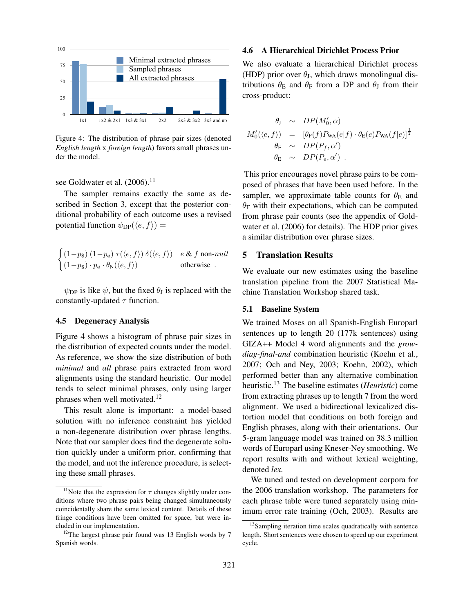

English length x foreign length) favors small phrases un-Figure 4: The distribution of phrase pair sizes (denoted der the model.

see Goldwater et al.  $(2006).$ <sup>11</sup>

ditional probability of each outcome uses a revised The sampler remains exactly the same as described in Section 3, except that the posterior conpotential function  $\psi_{DP}(\langle e, f \rangle)$  =

$$
\begin{cases}\n(1-p_{\$}) (1-p_{\emptyset}) \tau(\langle e, f \rangle) \delta(\langle e, f \rangle) & e \& f \text{ non-null} \\
(1-p_{\$}) \cdot p_{\emptyset} \cdot \theta_{\mathcal{N}}(\langle e, f \rangle) & \text{otherwise} \n\end{cases}
$$

 $\psi_{\text{DP}}$  is like  $\psi$ , but the fixed  $\theta_{\text{J}}$  is replaced with the constantly-updated  $\tau$  function.

## 4.5 Degeneracy Analysis

Figure 4 shows a histogram of phrase pair sizes in the distribution of expected counts under the model. As reference, we show the size distribution of both *minimal* and *all* phrase pairs extracted from word alignments using the standard heuristic. Our model tends to select minimal phrases, only using larger phrases when well motivated.<sup>12</sup>

This result alone is important: a model-based solution with no inference constraint has yielded a non-degenerate distribution over phrase lengths. Note that our sampler does find the degenerate solution quickly under a uniform prior, confirming that the model, and not the inference procedure, is selecting these small phrases.

#### 4.6 A Hierarchical Dirichlet Process Prior

We also evaluate a hierarchical Dirichlet process (HDP) prior over  $\theta_J$ , which draws monolingual distributions  $\theta_E$  and  $\theta_F$  from a DP and  $\theta_J$  from their cross-product:

$$
\theta_{J} \sim DP(M'_{0}, \alpha)
$$
  
\n
$$
M'_{0}(\langle e, f \rangle) = [\theta_{F}(f)P_{WA}(e|f) \cdot \theta_{E}(e)P_{WA}(f|e)]^{\frac{1}{2}}
$$
  
\n
$$
\theta_{F} \sim DP(P_{f}, \alpha')
$$
  
\n
$$
\theta_{E} \sim DP(P_{e}, \alpha')
$$

from phrase pair counts (see the appendix of Gold- $\theta_F$  with their expectations, which can be computed sampler, we approximate table counts for  $\theta_{\rm E}$  and posed of phrases that have been used before. In the This prior encourages novel phrase pairs to be comwater et al. (2006) for details). The HDP prior gives a similar distribution over phrase sizes.

## 5 Translation Results

We evaluate our new estimates using the baseline translation pipeline from the 2007 Statistical Machine Translation Workshop shared task.

#### 5.1 Baseline System

We trained Moses on all Spanish-English Europarl sentences up to length 20 (177k sentences) using GIZA++ Model 4 word alignments and the *growdiag-final-and* combination heuristic (Koehn et al., 2007; Och and Ney, 2003; Koehn, 2002), which performed better than any alternative combination heuristic.<sup>13</sup> The baseline estimates (*Heuristic*) come from extracting phrases up to length 7 from the word alignment. We used a bidirectional lexicalized distortion model that conditions on both foreign and English phrases, along with their orientations. Our 5-gram language model was trained on 38.3 million words of Europarl using Kneser-Ney smoothing. We report results with and without lexical weighting, denoted *lex*.

We tuned and tested on development corpora for the 2006 translation workshop. The parameters for each phrase table were tuned separately using minimum error rate training (Och, 2003). Results are

<sup>&</sup>lt;sup>11</sup>Note that the expression for  $\tau$  changes slightly under conditions where two phrase pairs being changed simultaneously coincidentally share the same lexical content. Details of these fringe conditions have been omitted for space, but were included in our implementation.

 $12$ The largest phrase pair found was 13 English words by 7 Spanish words.

<sup>&</sup>lt;sup>13</sup>Sampling iteration time scales quadratically with sentence length. Short sentences were chosen to speed up our experiment cycle.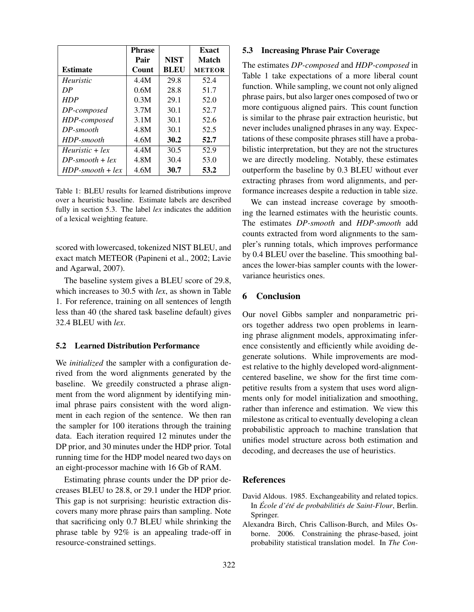|                    | <b>Phrase</b> |             | <b>Exact</b>  |
|--------------------|---------------|-------------|---------------|
|                    | Pair          | <b>NIST</b> | Match         |
| <b>Estimate</b>    | Count         | <b>BLEU</b> | <b>METEOR</b> |
| Heuristic          | 4.4M          | 29.8        | 52.4          |
| DP                 | 0.6M          | 28.8        | 51.7          |
| <b>HDP</b>         | 0.3M          | 29.1        | 52.0          |
| DP-composed        | 3.7M          | 30.1        | 52.7          |
| HDP-composed       | 3.1M          | 30.1        | 52.6          |
| $DP-smooth$        | 4.8M          | 30.1        | 52.5          |
| HDP-smooth         | 4.6M          | 30.2        | 52.7          |
| $Heuristic + lex$  | 4.4M          | 30.5        | 52.9          |
| $DP-smooth + lex$  | 4.8M          | 30.4        | 53.0          |
| $HDP-smooth + lex$ | 4.6M          | 30.7        | 53.2          |

Table 1: BLEU results for learned distributions improve over a heuristic baseline. Estimate labels are described fully in section 5.3. The label *lex* indicates the addition of a lexical weighting feature.

scored with lowercased, tokenized NIST BLEU, and exact match METEOR (Papineni et al., 2002; Lavie and Agarwal, 2007).

The baseline system gives a BLEU score of 29.8, which increases to 30.5 with *lex*, as shown in Table 1. For reference, training on all sentences of length less than 40 (the shared task baseline default) gives 32.4 BLEU with *lex*.

## 5.2 Learned Distribution Performance

We *initialized* the sampler with a configuration derived from the word alignments generated by the baseline. We greedily constructed a phrase alignment from the word alignment by identifying minimal phrase pairs consistent with the word alignment in each region of the sentence. We then ran the sampler for 100 iterations through the training data. Each iteration required 12 minutes under the DP prior, and 30 minutes under the HDP prior. Total running time for the HDP model neared two days on an eight-processor machine with 16 Gb of RAM.

Estimating phrase counts under the DP prior decreases BLEU to 28.8, or 29.1 under the HDP prior. This gap is not surprising: heuristic extraction discovers many more phrase pairs than sampling. Note that sacrificing only 0.7 BLEU while shrinking the phrase table by 92% is an appealing trade-off in resource-constrained settings.

## 5.3 Increasing Phrase Pair Coverage

The estimates *DP-composed* and *HDP-composed* in Table 1 take expectations of a more liberal count function. While sampling, we count not only aligned phrase pairs, but also larger ones composed of two or more contiguous aligned pairs. This count function is similar to the phrase pair extraction heuristic, but never includes unaligned phrases in any way. Expectations of these composite phrases still have a probabilistic interpretation, but they are not the structures we are directly modeling. Notably, these estimates outperform the baseline by 0.3 BLEU without ever extracting phrases from word alignments, and performance increases despite a reduction in table size.

We can instead increase coverage by smoothing the learned estimates with the heuristic counts. The estimates *DP-smooth* and *HDP-smooth* add counts extracted from word alignments to the sampler's running totals, which improves performance by 0.4 BLEU over the baseline. This smoothing balances the lower-bias sampler counts with the lowervariance heuristics ones.

## 6 Conclusion

Our novel Gibbs sampler and nonparametric priors together address two open problems in learning phrase alignment models, approximating inference consistently and efficiently while avoiding degenerate solutions. While improvements are modest relative to the highly developed word-alignmentcentered baseline, we show for the first time competitive results from a system that uses word alignments only for model initialization and smoothing, rather than inference and estimation. We view this milestone as critical to eventually developing a clean probabilistic approach to machine translation that unifies model structure across both estimation and decoding, and decreases the use of heuristics.

# References

- David Aldous. 1985. Exchangeability and related topics. In *Ecole d' ´ et´ e de probabiliti ´ es de Saint-Flour ´* , Berlin. Springer.
- Alexandra Birch, Chris Callison-Burch, and Miles Osborne. 2006. Constraining the phrase-based, joint probability statistical translation model. In *The Con-*